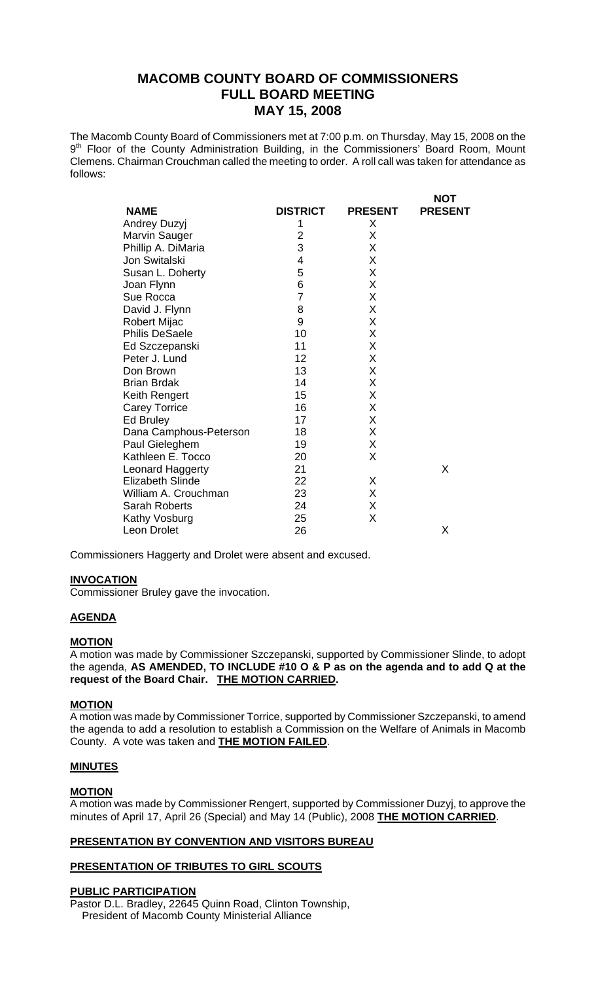# **MACOMB COUNTY BOARD OF COMMISSIONERS FULL BOARD MEETING MAY 15, 2008**

The Macomb County Board of Commissioners met at 7:00 p.m. on Thursday, May 15, 2008 on the 9<sup>th</sup> Floor of the County Administration Building, in the Commissioners' Board Room, Mount Clemens. Chairman Crouchman called the meeting to order. A roll call was taken for attendance as follows:

 $\lambda$ 

|                         |                 |                | <b>NO I</b>    |
|-------------------------|-----------------|----------------|----------------|
| <b>NAME</b>             | <b>DISTRICT</b> | <b>PRESENT</b> | <b>PRESENT</b> |
| <b>Andrey Duzyj</b>     | 1               | X              |                |
| Marvin Sauger           | $\overline{2}$  | X              |                |
| Phillip A. DiMaria      | 3               | X              |                |
| Jon Switalski           | 4               | Χ              |                |
| Susan L. Doherty        | 5               | X              |                |
| Joan Flynn              | 6               | X              |                |
| Sue Rocca               | $\overline{7}$  | Χ              |                |
| David J. Flynn          | 8               | Χ              |                |
| <b>Robert Mijac</b>     | 9               | X              |                |
| <b>Philis DeSaele</b>   | 10              | Χ              |                |
| Ed Szczepanski          | 11              | X              |                |
| Peter J. Lund           | 12              | X              |                |
| Don Brown               | 13              | X              |                |
| <b>Brian Brdak</b>      | 14              | X              |                |
| Keith Rengert           | 15              | X              |                |
| <b>Carey Torrice</b>    | 16              | Χ              |                |
| Ed Bruley               | 17              | X              |                |
| Dana Camphous-Peterson  | 18              | X              |                |
| Paul Gieleghem          | 19              | X              |                |
| Kathleen E. Tocco       | 20              | X              |                |
| Leonard Haggerty        | 21              |                | X              |
| <b>Elizabeth Slinde</b> | 22              | X              |                |
| William A. Crouchman    | 23              | X              |                |
| Sarah Roberts           | 24              | X              |                |
| Kathy Vosburg           | 25              | X              |                |
| Leon Drolet             | 26              |                | X              |

Commissioners Haggerty and Drolet were absent and excused.

# **INVOCATION**

Commissioner Bruley gave the invocation.

## **AGENDA**

#### **MOTION**

A motion was made by Commissioner Szczepanski, supported by Commissioner Slinde, to adopt the agenda, **AS AMENDED, TO INCLUDE #10 O & P as on the agenda and to add Q at the request of the Board Chair. THE MOTION CARRIED.** 

#### **MOTION**

A motion was made by Commissioner Torrice, supported by Commissioner Szczepanski, to amend the agenda to add a resolution to establish a Commission on the Welfare of Animals in Macomb County. A vote was taken and **THE MOTION FAILED**.

#### **MINUTES**

#### **MOTION**

A motion was made by Commissioner Rengert, supported by Commissioner Duzyj, to approve the minutes of April 17, April 26 (Special) and May 14 (Public), 2008 **THE MOTION CARRIED**.

# **PRESENTATION BY CONVENTION AND VISITORS BUREAU**

## **PRESENTATION OF TRIBUTES TO GIRL SCOUTS**

### **PUBLIC PARTICIPATION**

Pastor D.L. Bradley, 22645 Quinn Road, Clinton Township, President of Macomb County Ministerial Alliance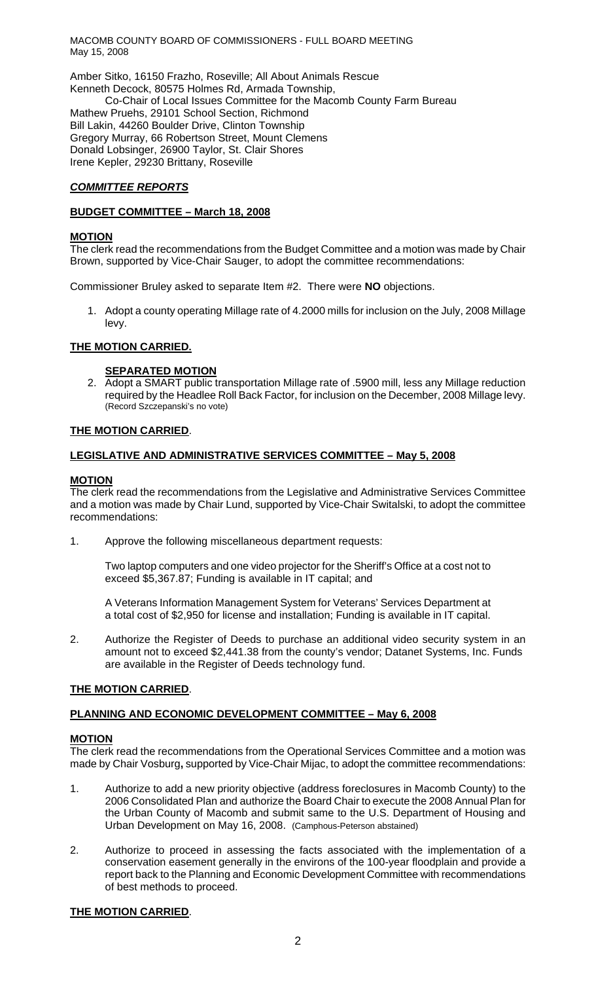MACOMB COUNTY BOARD OF COMMISSIONERS - FULL BOARD MEETING May 15, 2008

Amber Sitko, 16150 Frazho, Roseville; All About Animals Rescue Kenneth Decock, 80575 Holmes Rd, Armada Township, Co-Chair of Local Issues Committee for the Macomb County Farm Bureau Mathew Pruehs, 29101 School Section, Richmond Bill Lakin, 44260 Boulder Drive, Clinton Township Gregory Murray, 66 Robertson Street, Mount Clemens Donald Lobsinger, 26900 Taylor, St. Clair Shores Irene Kepler, 29230 Brittany, Roseville

# *COMMITTEE REPORTS*

### **BUDGET COMMITTEE – March 18, 2008**

#### **MOTION**

The clerk read the recommendations from the Budget Committee and a motion was made by Chair Brown, supported by Vice-Chair Sauger, to adopt the committee recommendations:

Commissioner Bruley asked to separate Item #2. There were **NO** objections.

1. Adopt a county operating Millage rate of 4.2000 mills for inclusion on the July, 2008 Millage levy.

#### **THE MOTION CARRIED.**

## **SEPARATED MOTION**

2. Adopt a SMART public transportation Millage rate of .5900 mill, less any Millage reduction required by the Headlee Roll Back Factor, for inclusion on the December, 2008 Millage levy. (Record Szczepanski's no vote)

#### **THE MOTION CARRIED**.

#### **LEGISLATIVE AND ADMINISTRATIVE SERVICES COMMITTEE – May 5, 2008**

#### **MOTION**

The clerk read the recommendations from the Legislative and Administrative Services Committee and a motion was made by Chair Lund, supported by Vice-Chair Switalski, to adopt the committee recommendations:

1. Approve the following miscellaneous department requests:

Two laptop computers and one video projector for the Sheriff's Office at a cost not to exceed \$5,367.87; Funding is available in IT capital; and

A Veterans Information Management System for Veterans' Services Department at a total cost of \$2,950 for license and installation; Funding is available in IT capital.

2. Authorize the Register of Deeds to purchase an additional video security system in an amount not to exceed \$2,441.38 from the county's vendor; Datanet Systems, Inc. Funds are available in the Register of Deeds technology fund.

## **THE MOTION CARRIED**.

## **PLANNING AND ECONOMIC DEVELOPMENT COMMITTEE – May 6, 2008**

#### **MOTION**

The clerk read the recommendations from the Operational Services Committee and a motion was made by Chair Vosburg**,** supported by Vice-Chair Mijac, to adopt the committee recommendations:

- 1. Authorize to add a new priority objective (address foreclosures in Macomb County) to the 2006 Consolidated Plan and authorize the Board Chair to execute the 2008 Annual Plan for the Urban County of Macomb and submit same to the U.S. Department of Housing and Urban Development on May 16, 2008. (Camphous-Peterson abstained)
- 2. Authorize to proceed in assessing the facts associated with the implementation of a conservation easement generally in the environs of the 100-year floodplain and provide a report back to the Planning and Economic Development Committee with recommendations of best methods to proceed.

## **THE MOTION CARRIED**.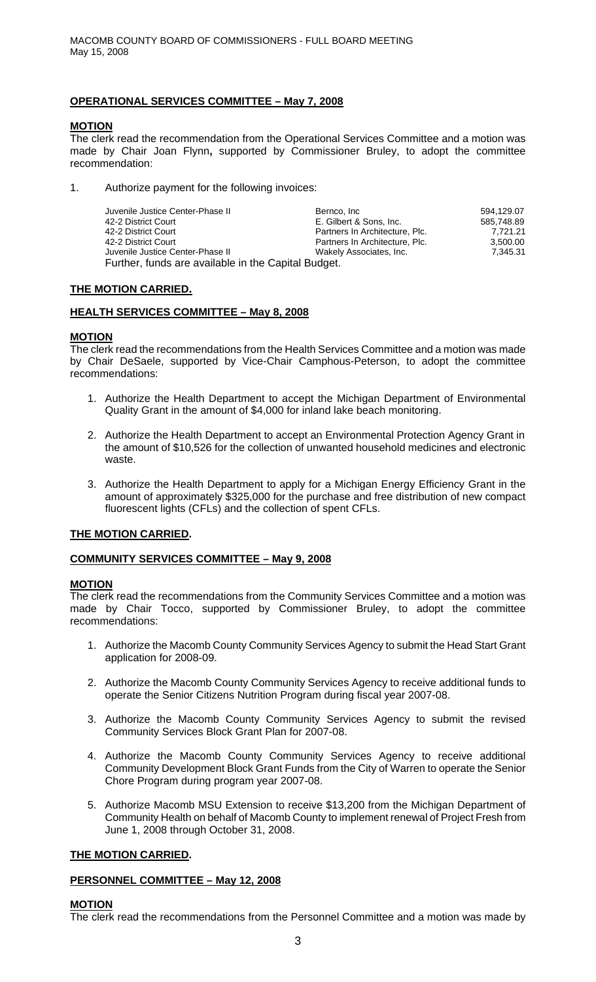# **OPERATIONAL SERVICES COMMITTEE – May 7, 2008**

# **MOTION**

The clerk read the recommendation from the Operational Services Committee and a motion was made by Chair Joan Flynn**,** supported by Commissioner Bruley, to adopt the committee recommendation:

1. Authorize payment for the following invoices:

| Juvenile Justice Center-Phase II                    | Bernco, Inc                    | 594.129.07 |
|-----------------------------------------------------|--------------------------------|------------|
| 42-2 District Court                                 | E. Gilbert & Sons, Inc.        | 585.748.89 |
| 42-2 District Court                                 | Partners In Architecture, Plc. | 7.721.21   |
| 42-2 District Court                                 | Partners In Architecture, Plc. | 3,500.00   |
| Juvenile Justice Center-Phase II                    | Wakely Associates, Inc.        | 7,345.31   |
| Further, funds are available in the Capital Budget. |                                |            |

## **THE MOTION CARRIED.**

## **HEALTH SERVICES COMMITTEE – May 8, 2008**

## **MOTION**

The clerk read the recommendations from the Health Services Committee and a motion was made by Chair DeSaele, supported by Vice-Chair Camphous-Peterson, to adopt the committee recommendations:

- 1. Authorize the Health Department to accept the Michigan Department of Environmental Quality Grant in the amount of \$4,000 for inland lake beach monitoring.
- 2. Authorize the Health Department to accept an Environmental Protection Agency Grant in the amount of \$10,526 for the collection of unwanted household medicines and electronic waste.
- 3. Authorize the Health Department to apply for a Michigan Energy Efficiency Grant in the amount of approximately \$325,000 for the purchase and free distribution of new compact fluorescent lights (CFLs) and the collection of spent CFLs.

## **THE MOTION CARRIED.**

# **COMMUNITY SERVICES COMMITTEE – May 9, 2008**

## **MOTION**

The clerk read the recommendations from the Community Services Committee and a motion was made by Chair Tocco, supported by Commissioner Bruley, to adopt the committee recommendations:

- 1. Authorize the Macomb County Community Services Agency to submit the Head Start Grant application for 2008-09.
- 2. Authorize the Macomb County Community Services Agency to receive additional funds to operate the Senior Citizens Nutrition Program during fiscal year 2007-08.
- 3. Authorize the Macomb County Community Services Agency to submit the revised Community Services Block Grant Plan for 2007-08.
- 4. Authorize the Macomb County Community Services Agency to receive additional Community Development Block Grant Funds from the City of Warren to operate the Senior Chore Program during program year 2007-08.
- 5. Authorize Macomb MSU Extension to receive \$13,200 from the Michigan Department of Community Health on behalf of Macomb County to implement renewal of Project Fresh from June 1, 2008 through October 31, 2008.

# **THE MOTION CARRIED.**

## **PERSONNEL COMMITTEE – May 12, 2008**

## **MOTION**

The clerk read the recommendations from the Personnel Committee and a motion was made by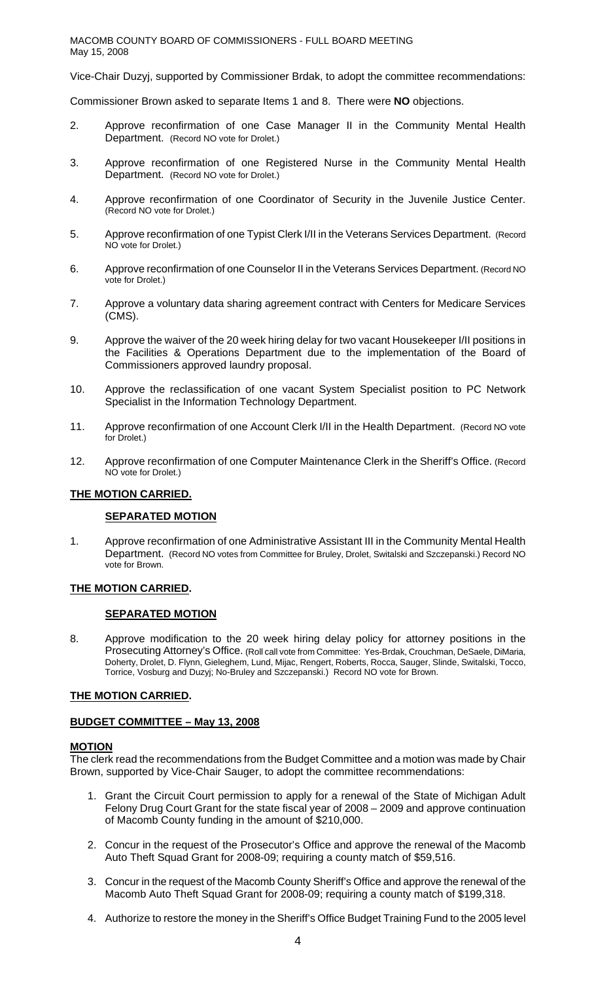Vice-Chair Duzyj, supported by Commissioner Brdak, to adopt the committee recommendations:

Commissioner Brown asked to separate Items 1 and 8. There were **NO** objections.

- 2. Approve reconfirmation of one Case Manager II in the Community Mental Health Department. (Record NO vote for Drolet.)
- 3. Approve reconfirmation of one Registered Nurse in the Community Mental Health Department. (Record NO vote for Drolet.)
- 4. Approve reconfirmation of one Coordinator of Security in the Juvenile Justice Center. (Record NO vote for Drolet.)
- 5. Approve reconfirmation of one Typist Clerk I/II in the Veterans Services Department. (Record NO vote for Drolet.)
- 6. Approve reconfirmation of one Counselor II in the Veterans Services Department. (Record NO vote for Drolet.)
- 7. Approve a voluntary data sharing agreement contract with Centers for Medicare Services (CMS).
- 9. Approve the waiver of the 20 week hiring delay for two vacant Housekeeper I/II positions in the Facilities & Operations Department due to the implementation of the Board of Commissioners approved laundry proposal.
- 10. Approve the reclassification of one vacant System Specialist position to PC Network Specialist in the Information Technology Department.
- 11. Approve reconfirmation of one Account Clerk I/II in the Health Department. (Record NO vote for Drolet.)
- 12. Approve reconfirmation of one Computer Maintenance Clerk in the Sheriff's Office. (Record NO vote for Drolet.)

## **THE MOTION CARRIED.**

## **SEPARATED MOTION**

1. Approve reconfirmation of one Administrative Assistant III in the Community Mental Health Department. (Record NO votes from Committee for Bruley, Drolet, Switalski and Szczepanski.) Record NO vote for Brown.

## **THE MOTION CARRIED.**

#### **SEPARATED MOTION**

8. Approve modification to the 20 week hiring delay policy for attorney positions in the Prosecuting Attorney's Office. (Roll call vote from Committee: Yes-Brdak, Crouchman, DeSaele, DiMaria, Doherty, Drolet, D. Flynn, Gieleghem, Lund, Mijac, Rengert, Roberts, Rocca, Sauger, Slinde, Switalski, Tocco, Torrice, Vosburg and Duzyj; No-Bruley and Szczepanski.) Record NO vote for Brown.

#### **THE MOTION CARRIED.**

## **BUDGET COMMITTEE – May 13, 2008**

# **MOTION**

The clerk read the recommendations from the Budget Committee and a motion was made by Chair Brown, supported by Vice-Chair Sauger, to adopt the committee recommendations:

- 1. Grant the Circuit Court permission to apply for a renewal of the State of Michigan Adult Felony Drug Court Grant for the state fiscal year of 2008 – 2009 and approve continuation of Macomb County funding in the amount of \$210,000.
- 2. Concur in the request of the Prosecutor's Office and approve the renewal of the Macomb Auto Theft Squad Grant for 2008-09; requiring a county match of \$59,516.
- 3. Concur in the request of the Macomb County Sheriff's Office and approve the renewal of the Macomb Auto Theft Squad Grant for 2008-09; requiring a county match of \$199,318.
- 4. Authorize to restore the money in the Sheriff's Office Budget Training Fund to the 2005 level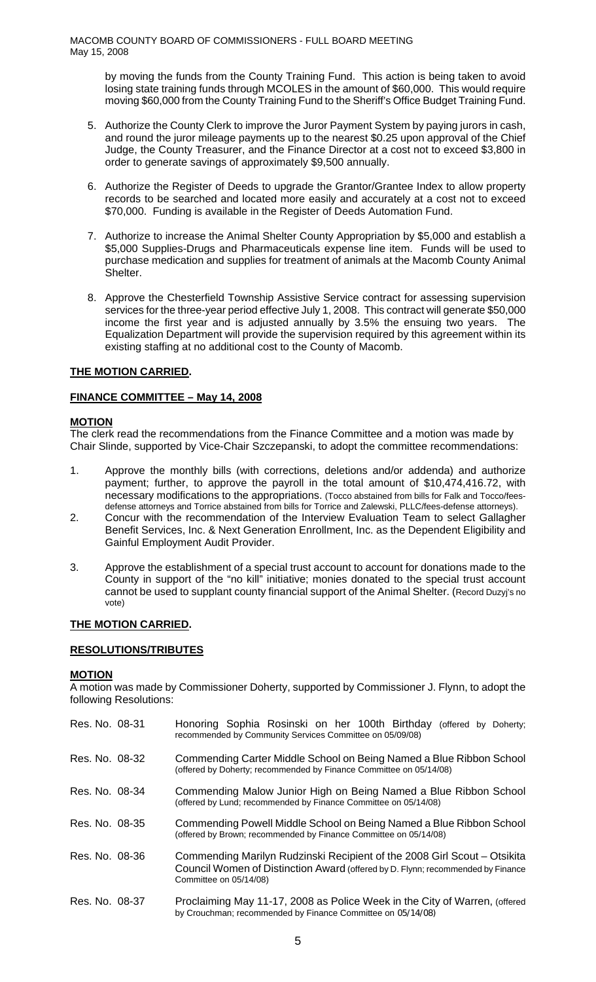by moving the funds from the County Training Fund. This action is being taken to avoid losing state training funds through MCOLES in the amount of \$60,000. This would require moving \$60,000 from the County Training Fund to the Sheriff's Office Budget Training Fund.

- 5. Authorize the County Clerk to improve the Juror Payment System by paying jurors in cash, and round the juror mileage payments up to the nearest \$0.25 upon approval of the Chief Judge, the County Treasurer, and the Finance Director at a cost not to exceed \$3,800 in order to generate savings of approximately \$9,500 annually.
- 6. Authorize the Register of Deeds to upgrade the Grantor/Grantee Index to allow property records to be searched and located more easily and accurately at a cost not to exceed \$70,000. Funding is available in the Register of Deeds Automation Fund.
- 7. Authorize to increase the Animal Shelter County Appropriation by \$5,000 and establish a \$5,000 Supplies-Drugs and Pharmaceuticals expense line item. Funds will be used to purchase medication and supplies for treatment of animals at the Macomb County Animal Shelter.
- 8. Approve the Chesterfield Township Assistive Service contract for assessing supervision services for the three-year period effective July 1, 2008. This contract will generate \$50,000 income the first year and is adjusted annually by 3.5% the ensuing two years. The Equalization Department will provide the supervision required by this agreement within its existing staffing at no additional cost to the County of Macomb.

# **THE MOTION CARRIED.**

## **FINANCE COMMITTEE – May 14, 2008**

## **MOTION**

The clerk read the recommendations from the Finance Committee and a motion was made by Chair Slinde, supported by Vice-Chair Szczepanski, to adopt the committee recommendations:

- 1. Approve the monthly bills (with corrections, deletions and/or addenda) and authorize payment; further, to approve the payroll in the total amount of \$10,474,416.72, with necessary modifications to the appropriations. (Tocco abstained from bills for Falk and Tocco/feesdefense attorneys and Torrice abstained from bills for Torrice and Zalewski, PLLC/fees-defense attorneys).
- 2. Concur with the recommendation of the Interview Evaluation Team to select Gallagher Benefit Services, Inc. & Next Generation Enrollment, Inc. as the Dependent Eligibility and Gainful Employment Audit Provider.
- 3. Approve the establishment of a special trust account to account for donations made to the County in support of the "no kill" initiative; monies donated to the special trust account cannot be used to supplant county financial support of the Animal Shelter. (Record Duzyj's no vote)

## **THE MOTION CARRIED.**

# **RESOLUTIONS/TRIBUTES**

## **MOTION**

A motion was made by Commissioner Doherty, supported by Commissioner J. Flynn, to adopt the following Resolutions:

| Res. No. 08-31 | Honoring Sophia Rosinski on her 100th Birthday (offered by Doherty;<br>recommended by Community Services Committee on 05/09/08)                                                       |
|----------------|---------------------------------------------------------------------------------------------------------------------------------------------------------------------------------------|
| Res. No. 08-32 | Commending Carter Middle School on Being Named a Blue Ribbon School<br>(offered by Doherty; recommended by Finance Committee on 05/14/08)                                             |
| Res. No. 08-34 | Commending Malow Junior High on Being Named a Blue Ribbon School<br>(offered by Lund; recommended by Finance Committee on 05/14/08)                                                   |
| Res. No. 08-35 | Commending Powell Middle School on Being Named a Blue Ribbon School<br>(offered by Brown; recommended by Finance Committee on 05/14/08)                                               |
| Res. No. 08-36 | Commending Marilyn Rudzinski Recipient of the 2008 Girl Scout – Otsikita<br>Council Women of Distinction Award (offered by D. Flynn; recommended by Finance<br>Committee on 05/14/08) |
| Res. No. 08-37 | Proclaiming May 11-17, 2008 as Police Week in the City of Warren, (offered<br>by Crouchman; recommended by Finance Committee on 05/14/08)                                             |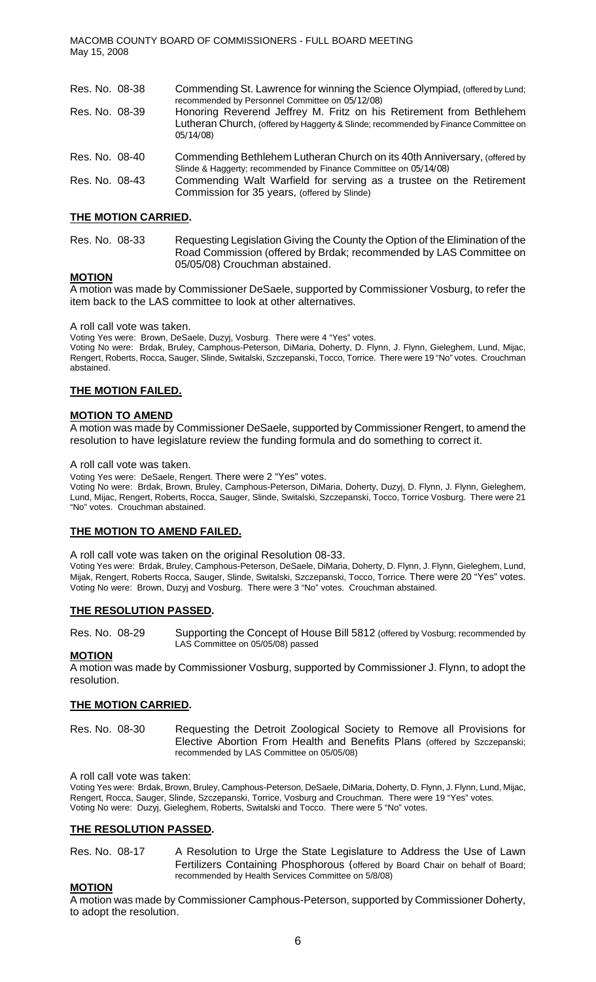| Res. No. 08-38 | Commending St. Lawrence for winning the Science Olympiad, (offered by Lund;<br>recommended by Personnel Committee on 05/12/08)                                          |
|----------------|-------------------------------------------------------------------------------------------------------------------------------------------------------------------------|
| Res. No. 08-39 | Honoring Reverend Jeffrey M. Fritz on his Retirement from Bethlehem<br>Lutheran Church, (offered by Haggerty & Slinde; recommended by Finance Committee on<br>05/14/08) |
| Res. No. 08-40 | Commending Bethlehem Lutheran Church on its 40th Anniversary, (offered by<br>Slinde & Haggerty; recommended by Finance Committee on 05/14/08)                           |
| Res. No. 08-43 | Commending Walt Warfield for serving as a trustee on the Retirement<br>Commission for 35 years, (offered by Slinde)                                                     |

### **THE MOTION CARRIED.**

Res. No. 08-33 Requesting Legislation Giving the County the Option of the Elimination of the Road Commission (offered by Brdak; recommended by LAS Committee on 05/05/08) Crouchman abstained.

#### **MOTION**

A motion was made by Commissioner DeSaele, supported by Commissioner Vosburg, to refer the item back to the LAS committee to look at other alternatives.

#### A roll call vote was taken.

Voting Yes were: Brown, DeSaele, Duzyj, Vosburg. There were 4 "Yes" votes.

Voting No were: Brdak, Bruley, Camphous-Peterson, DiMaria, Doherty, D. Flynn, J. Flynn, Gieleghem, Lund, Mijac, Rengert, Roberts, Rocca, Sauger, Slinde, Switalski, Szczepanski, Tocco, Torrice. There were 19 "No" votes. Crouchman abstained.

#### **THE MOTION FAILED.**

#### **MOTION TO AMEND**

A motion was made by Commissioner DeSaele, supported by Commissioner Rengert, to amend the resolution to have legislature review the funding formula and do something to correct it.

#### A roll call vote was taken.

Voting Yes were: DeSaele, Rengert. There were 2 "Yes" votes.

Voting No were: Brdak, Brown, Bruley, Camphous-Peterson, DiMaria, Doherty, Duzyj, D. Flynn, J. Flynn, Gieleghem, Lund, Mijac, Rengert, Roberts, Rocca, Sauger, Slinde, Switalski, Szczepanski, Tocco, Torrice Vosburg. There were 21 "No" votes. Crouchman abstained.

#### **THE MOTION TO AMEND FAILED.**

A roll call vote was taken on the original Resolution 08-33.

Voting Yes were: Brdak, Bruley, Camphous-Peterson, DeSaele, DiMaria, Doherty, D. Flynn, J. Flynn, Gieleghem, Lund, Mijak, Rengert, Roberts Rocca, Sauger, Slinde, Switalski, Szczepanski, Tocco, Torrice. There were 20 "Yes" votes. Voting No were: Brown, Duzyj and Vosburg. There were 3 "No" votes. Crouchman abstained.

#### **THE RESOLUTION PASSED.**

Res. No. 08-29 Supporting the Concept of House Bill 5812 (offered by Vosburg; recommended by LAS Committee on 05/05/08) passed

#### **MOTION**

A motion was made by Commissioner Vosburg, supported by Commissioner J. Flynn, to adopt the resolution.

#### **THE MOTION CARRIED.**

Res. No. 08-30 Requesting the Detroit Zoological Society to Remove all Provisions for Elective Abortion From Health and Benefits Plans (offered by Szczepanski; recommended by LAS Committee on 05/05/08)

#### A roll call vote was taken:

Voting Yes were: Brdak, Brown, Bruley, Camphous-Peterson, DeSaele, DiMaria, Doherty, D. Flynn, J. Flynn, Lund, Mijac, Rengert, Rocca, Sauger, Slinde, Szczepanski, Torrice, Vosburg and Crouchman. There were 19 "Yes" votes. Voting No were: Duzyj, Gieleghem, Roberts, Switalski and Tocco. There were 5 "No" votes.

#### **THE RESOLUTION PASSED.**

Res. No. 08-17 A Resolution to Urge the State Legislature to Address the Use of Lawn Fertilizers Containing Phosphorous (offered by Board Chair on behalf of Board; recommended by Health Services Committee on 5/8/08)

#### **MOTION**

A motion was made by Commissioner Camphous-Peterson, supported by Commissioner Doherty, to adopt the resolution.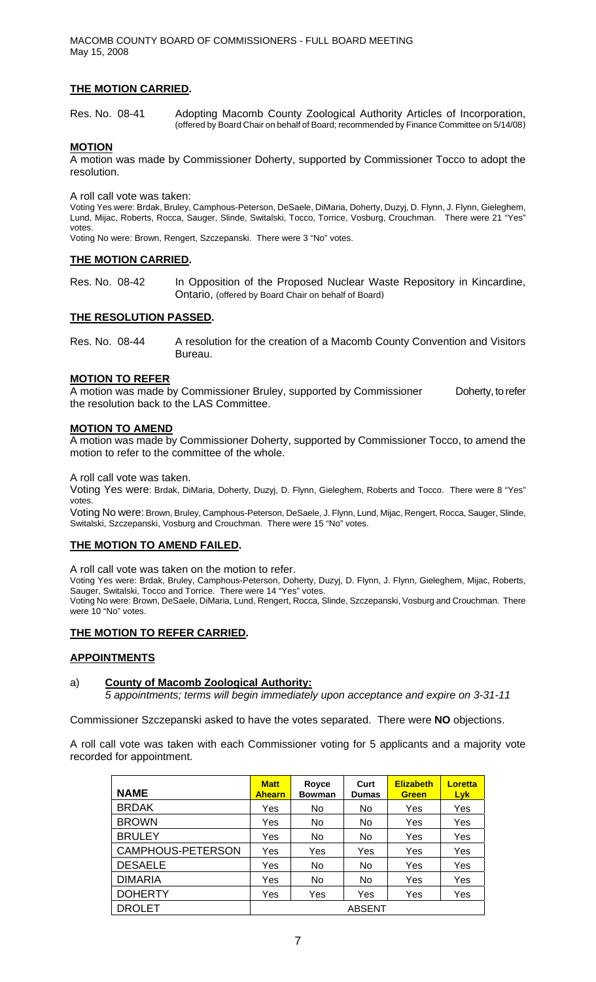# **THE MOTION CARRIED.**

Res. No. 08-41 Adopting Macomb County Zoological Authority Articles of Incorporation, (offered by Board Chair on behalf of Board; recommended by Finance Committee on 5/14/08)

#### **MOTION**

A motion was made by Commissioner Doherty, supported by Commissioner Tocco to adopt the resolution.

A roll call vote was taken:

Voting Yes were: Brdak, Bruley, Camphous-Peterson, DeSaele, DiMaria, Doherty, Duzyj, D. Flynn, J. Flynn, Gieleghem, Lund, Mijac, Roberts, Rocca, Sauger, Slinde, Switalski, Tocco, Torrice, Vosburg, Crouchman. There were 21 "Yes" votes.

Voting No were: Brown, Rengert, Szczepanski. There were 3 "No" votes.

#### **THE MOTION CARRIED.**

Res. No. 08-42 In Opposition of the Proposed Nuclear Waste Repository in Kincardine, Ontario, (offered by Board Chair on behalf of Board)

#### **THE RESOLUTION PASSED.**

Res. No. 08-44 A resolution for the creation of a Macomb County Convention and Visitors Bureau.

#### **MOTION TO REFER**

A motion was made by Commissioner Bruley, supported by Commissioner Doherty, to refer the resolution back to the LAS Committee.

#### **MOTION TO AMEND**

A motion was made by Commissioner Doherty, supported by Commissioner Tocco, to amend the motion to refer to the committee of the whole.

A roll call vote was taken.

Voting Yes were: Brdak, DiMaria, Doherty, Duzyj, D. Flynn, Gieleghem, Roberts and Tocco. There were 8 "Yes" votes.

Voting No were: Brown, Bruley, Camphous-Peterson, DeSaele, J. Flynn, Lund, Mijac, Rengert, Rocca, Sauger, Slinde, Switalski, Szczepanski, Vosburg and Crouchman. There were 15 "No" votes.

#### **THE MOTION TO AMEND FAILED.**

A roll call vote was taken on the motion to refer.

Voting Yes were: Brdak, Bruley, Camphous-Peterson, Doherty, Duzyj, D. Flynn, J. Flynn, Gieleghem, Mijac, Roberts, Sauger, Switalski, Tocco and Torrice. There were 14 "Yes" votes.

Voting No were: Brown, DeSaele, DiMaria, Lund, Rengert, Rocca, Slinde, Szczepanski, Vosburg and Crouchman. There were 10 "No" votes.

# **THE MOTION TO REFER CARRIED.**

#### **APPOINTMENTS**

## a) **County of Macomb Zoological Authority:**

*5 appointments; terms will begin immediately upon acceptance and expire on 3-31-11*

Commissioner Szczepanski asked to have the votes separated. There were **NO** objections.

A roll call vote was taken with each Commissioner voting for 5 applicants and a majority vote recorded for appointment.

| <b>NAME</b>       | <b>Matt</b><br><b>Ahearn</b> | Royce<br><b>Bowman</b> | Curt<br><b>Dumas</b> | <b>Elizabeth</b><br><b>Green</b> | Loretta<br>Lyk. |
|-------------------|------------------------------|------------------------|----------------------|----------------------------------|-----------------|
| <b>BRDAK</b>      | Yes                          | No.                    | No.                  | Yes                              | Yes             |
| <b>BROWN</b>      | Yes                          | No                     | No                   | Yes                              | Yes             |
| <b>BRULEY</b>     | Yes                          | No                     | No                   | Yes                              | Yes             |
| CAMPHOUS-PETERSON | Yes                          | Yes                    | Yes                  | Yes                              | Yes             |
| <b>DESAELE</b>    | Yes                          | <b>No</b>              | N <sub>o</sub>       | Yes                              | Yes             |
| <b>DIMARIA</b>    | Yes                          | No                     | No                   | Yes                              | Yes             |
| <b>DOHERTY</b>    | Yes                          | Yes                    | Yes                  | Yes                              | Yes             |
| <b>DROLET</b>     |                              |                        | <b>ABSENT</b>        |                                  |                 |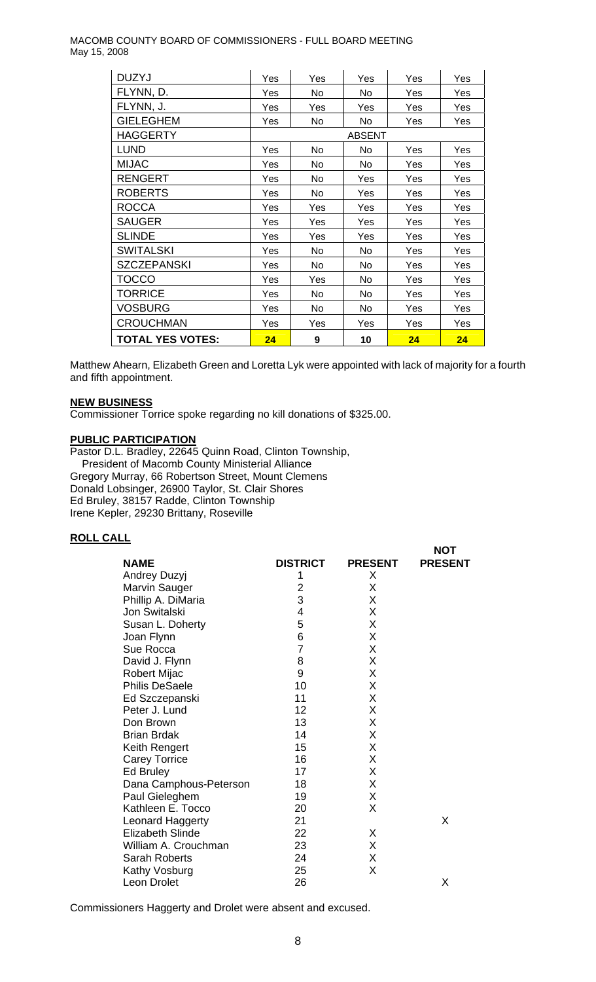MACOMB COUNTY BOARD OF COMMISSIONERS - FULL BOARD MEETING May 15, 2008

| <b>DUZYJ</b>            | Yes           | Yes | Yes | Yes | Yes |
|-------------------------|---------------|-----|-----|-----|-----|
| FLYNN, D.               | Yes           | No  | No. | Yes | Yes |
| FLYNN, J.               | Yes           | Yes | Yes | Yes | Yes |
| <b>GIELEGHEM</b>        | Yes           | No  | No  | Yes | Yes |
| <b>HAGGERTY</b>         | <b>ABSENT</b> |     |     |     |     |
| <b>LUND</b>             | Yes           | No  | No  | Yes | Yes |
| <b>MIJAC</b>            | Yes           | No. | No. | Yes | Yes |
| <b>RENGERT</b>          | Yes           | No. | Yes | Yes | Yes |
| <b>ROBERTS</b>          | Yes           | No. | Yes | Yes | Yes |
| <b>ROCCA</b>            | Yes           | Yes | Yes | Yes | Yes |
| <b>SAUGER</b>           | Yes           | Yes | Yes | Yes | Yes |
| <b>SLINDE</b>           | Yes           | Yes | Yes | Yes | Yes |
| <b>SWITALSKI</b>        | Yes           | No. | No  | Yes | Yes |
| <b>SZCZEPANSKI</b>      | Yes           | No  | No. | Yes | Yes |
| TOCCO                   | Yes           | Yes | No. | Yes | Yes |
| TORRICE                 | Yes           | No. | No  | Yes | Yes |
| VOSBURG                 | Yes           | No  | No  | Yes | Yes |
| <b>CROUCHMAN</b>        | Yes           | Yes | Yes | Yes | Yes |
| <b>TOTAL YES VOTES:</b> | 24            | 9   | 10  | 24  | 24  |

Matthew Ahearn, Elizabeth Green and Loretta Lyk were appointed with lack of majority for a fourth and fifth appointment.

#### **NEW BUSINESS**

Commissioner Torrice spoke regarding no kill donations of \$325.00.

#### **PUBLIC PARTICIPATION**

Pastor D.L. Bradley, 22645 Quinn Road, Clinton Township, President of Macomb County Ministerial Alliance Gregory Murray, 66 Robertson Street, Mount Clemens Donald Lobsinger, 26900 Taylor, St. Clair Shores Ed Bruley, 38157 Radde, Clinton Township Irene Kepler, 29230 Brittany, Roseville

#### **ROLL CALL**

|                         |                 |                | <b>NOT</b>     |
|-------------------------|-----------------|----------------|----------------|
| <b>NAME</b>             | <b>DISTRICT</b> | <b>PRESENT</b> | <b>PRESENT</b> |
| Andrey Duzyj            |                 | X              |                |
| <b>Marvin Sauger</b>    | 2               | X              |                |
| Phillip A. DiMaria      | 3               | Χ              |                |
| Jon Switalski           | 4               | X              |                |
| Susan L. Doherty        | 5               | X              |                |
| Joan Flynn              | 6               | X              |                |
| Sue Rocca               | $\overline{7}$  | X              |                |
| David J. Flynn          | 8               | X              |                |
| <b>Robert Mijac</b>     | 9               | X              |                |
| <b>Philis DeSaele</b>   | 10              | X              |                |
| Ed Szczepanski          | 11              | X              |                |
| Peter J. Lund           | 12              | X              |                |
| Don Brown               | 13              | X              |                |
| <b>Brian Brdak</b>      | 14              | X              |                |
| Keith Rengert           | 15              | X              |                |
| <b>Carey Torrice</b>    | 16              | Χ              |                |
| Ed Bruley               | 17              | X              |                |
| Dana Camphous-Peterson  | 18              | X              |                |
| Paul Gieleghem          | 19              | X              |                |
| Kathleen E. Tocco       | 20              | X              |                |
| Leonard Haggerty        | 21              |                | X              |
| <b>Elizabeth Slinde</b> | 22              | Χ              |                |
| William A. Crouchman    | 23              | X              |                |
| <b>Sarah Roberts</b>    | 24              | Χ              |                |
| Kathy Vosburg           | 25              | X              |                |
| Leon Drolet             | 26              |                | X              |

Commissioners Haggerty and Drolet were absent and excused.